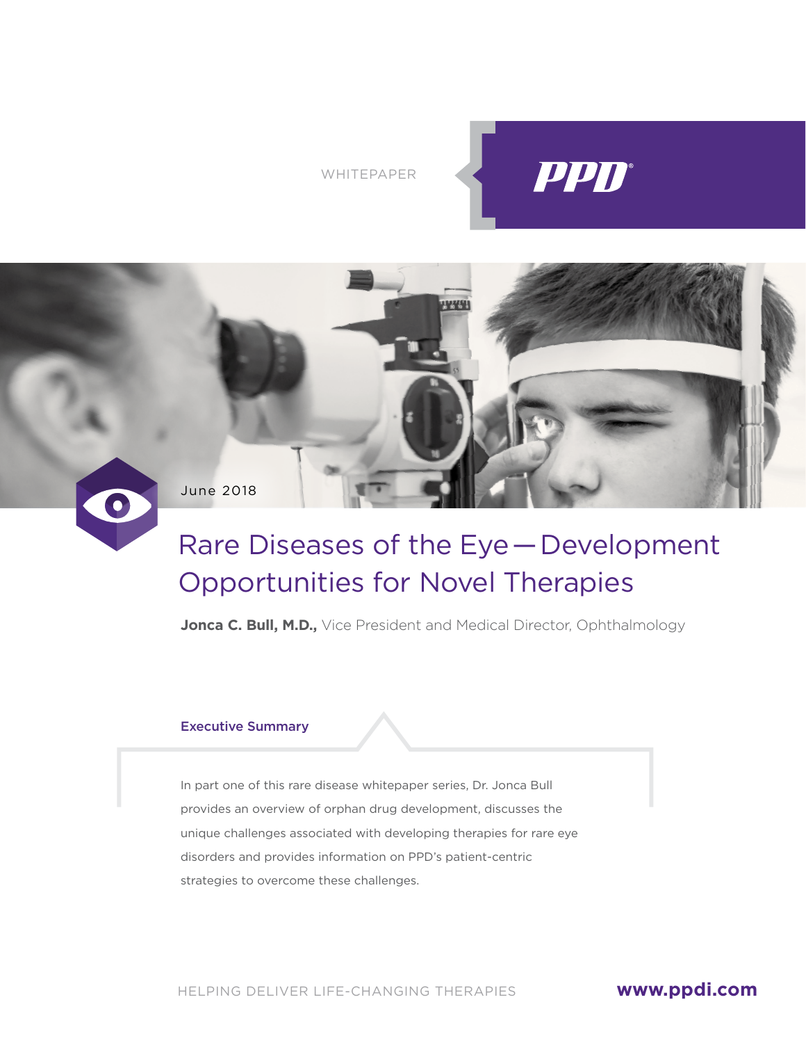WHITEPAPER





# Rare Diseases of the Eye — Development Opportunities for Novel Therapies

**Jonca C. Bull, M.D.,** Vice President and Medical Director, Ophthalmology

#### Executive Summary

In part one of this rare disease whitepaper series, Dr. Jonca Bull provides an overview of orphan drug development, discusses the unique challenges associated with developing therapies for rare eye disorders and provides information on PPD's patient-centric strategies to overcome these challenges.

HELPING DELIVER LIFE-CHANGING THERAPIES

## **[www.ppdi.com](http://www.ppdi.com)**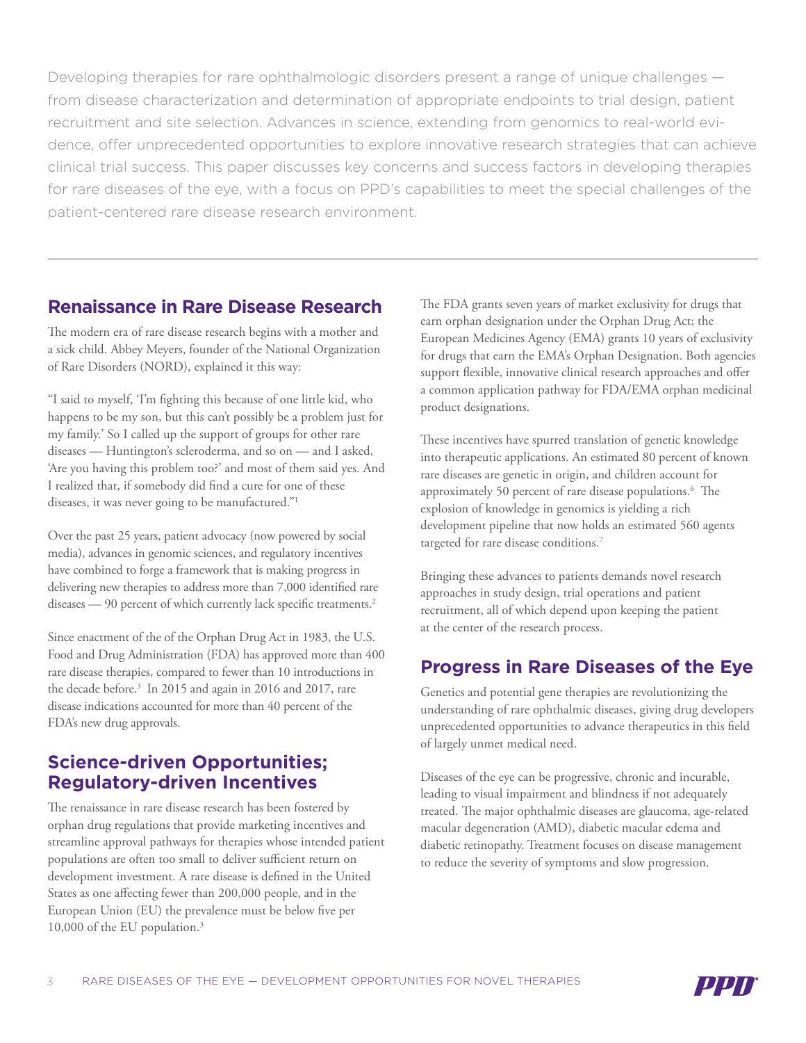Developing therapies for rare ophthalmologic disorders present a range of unique challenges from disease characterization and determination of appropriate endpoints to trial design, patient recruitment and site selection. Advances in science, extending from genomics to real-world evidence, offer unprecedented opportunities to explore innovative research strategies that can achieve clinical trial success. This paper discusses key concerns and success factors in developing therapies for rare diseases of the eye, with a focus on PPD's capabilities to meet the special challenges of the patient-centered rare disease research environment.

#### **Renaissance in Rare Disease Research**

The modern era of rare disease research begins with a mother and a sick child. Abbey Meyers, founder of the National Organization of Rare Disorders (NORD), explained it this way:

"I said to myself, 'I'm fighting this because of one little kid, who happens to be my son, but this can't possibly be a problem just for my family.' So I called up the support of groups for other rare diseases — Huntington's scleroderma, and so on — and I asked, 'Are you having this problem too?' and most of them said yes. And I realized that, if somebody did find a cure for one of these diseases, it was never going to be manufactured."1

Over the past 25 years, patient advocacy (now powered by social media), advances in genomic sciences, and regulatory incentives have combined to forge a framework that is making progress in delivering new therapies to address more than 7,000 identified rare diseases — 90 percent of which currently lack specific treatments.<sup>2</sup>

Since enactment of the of the Orphan Drug Act in 1983, the U.S. Food and Drug Administration (FDA) has approved more than 400 rare disease therapies, compared to fewer than 10 introductions in the decade before.3 In 2015 and again in 2016 and 2017, rare disease indications accounted for more than 40 percent of the FDA's new drug approvals.

### **Science-driven Opportunities; Regulatory-driven Incentives**

The renaissance in rare disease research has been fostered by orphan drug regulations that provide marketing incentives and streamline approval pathways for therapies whose intended patient populations are often too small to deliver sufficient return on development investment. A rare disease is defined in the United States as one affecting fewer than 200,000 people, and in the European Union (EU) the prevalence must be below five per 10,000 of the EU population.<sup>3</sup>

The FDA grants seven years of market exclusivity for drugs that earn orphan designation under the Orphan Drug Act; the European Medicines Agency (EMA) grants 10 years of exclusivity for drugs that earn the EMA's Orphan Designation. Both agencies support flexible, innovative clinical research approaches and offer a common application pathway for FDA/EMA orphan medicinal product designations.

These incentives have spurred translation of genetic knowledge into therapeutic applications. An estimated 80 percent of known rare diseases are genetic in origin, and children account for approximately 50 percent of rare disease populations.6 The explosion of knowledge in genomics is yielding a rich development pipeline that now holds an estimated 560 agents targeted for rare disease conditions.<sup>7</sup>

Bringing these advances to patients demands novel research approaches in study design, trial operations and patient recruitment, all of which depend upon keeping the patient at the center of the research process.

## **Progress in Rare Diseases of the Eye**

Genetics and potential gene therapies are revolutionizing the understanding of rare ophthalmic diseases, giving drug developers unprecedented opportunities to advance therapeutics in this field of largely unmet medical need.

Diseases of the eye can be progressive, chronic and incurable, leading to visual impairment and blindness if not adequately treated. The major ophthalmic diseases are glaucoma, age-related macular degeneration (AMD), diabetic macular edema and diabetic retinopathy. Treatment focuses on disease management to reduce the severity of symptoms and slow progression.

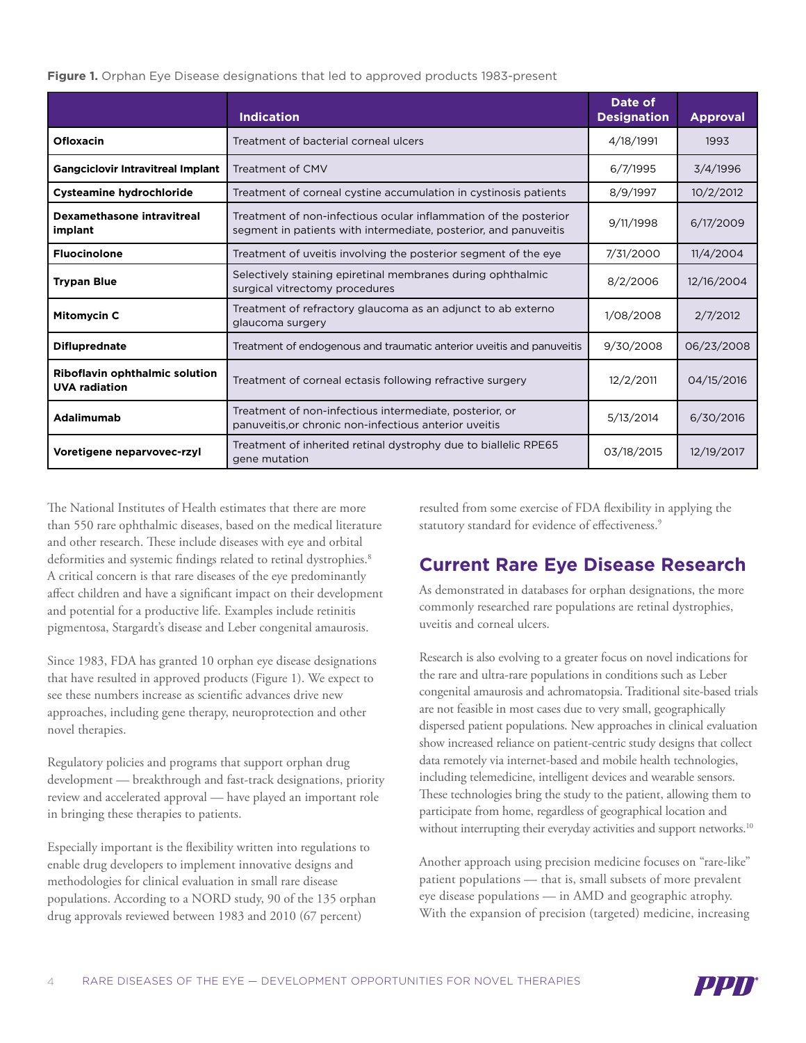#### **Figure 1.** Orphan Eye Disease designations that led to approved products 1983-present

|                                                        | <b>Indication</b>                                                                                                                    | Date of<br><b>Designation</b> | <b>Approval</b> |
|--------------------------------------------------------|--------------------------------------------------------------------------------------------------------------------------------------|-------------------------------|-----------------|
| <b>Ofloxacin</b>                                       | Treatment of bacterial corneal ulcers                                                                                                | 4/18/1991                     | 1993            |
| <b>Gangciclovir Intravitreal Implant</b>               | Treatment of CMV                                                                                                                     | 6/7/1995                      | 3/4/1996        |
| <b>Cysteamine hydrochloride</b>                        | Treatment of corneal cystine accumulation in cystinosis patients                                                                     | 8/9/1997                      | 10/2/2012       |
| Dexamethasone intravitreal<br>implant                  | Treatment of non-infectious ocular inflammation of the posterior<br>segment in patients with intermediate, posterior, and panuveitis | 9/11/1998                     | 6/17/2009       |
| <b>Fluocinolone</b>                                    | Treatment of uveitis involving the posterior segment of the eye                                                                      | 7/31/2000                     | 11/4/2004       |
| <b>Trypan Blue</b>                                     | Selectively staining epiretinal membranes during ophthalmic<br>surgical vitrectomy procedures                                        | 8/2/2006                      | 12/16/2004      |
| <b>Mitomycin C</b>                                     | Treatment of refractory glaucoma as an adjunct to ab externo<br>glaucoma surgery                                                     | 1/08/2008                     | 2/7/2012        |
| <b>Difluprednate</b>                                   | Treatment of endogenous and traumatic anterior uveitis and panuveitis                                                                | 9/30/2008                     | 06/23/2008      |
| Riboflavin ophthalmic solution<br><b>UVA</b> radiation | Treatment of corneal ectasis following refractive surgery                                                                            | 12/2/2011                     | 04/15/2016      |
| Adalimumab                                             | Treatment of non-infectious intermediate, posterior, or<br>panuveitis, or chronic non-infectious anterior uveitis                    | 5/13/2014                     | 6/30/2016       |
| Voretigene neparvovec-rzyl                             | Treatment of inherited retinal dystrophy due to biallelic RPE65<br>gene mutation                                                     | 03/18/2015                    | 12/19/2017      |

The National Institutes of Health estimates that there are more than 550 rare ophthalmic diseases, based on the medical literature and other research. These include diseases with eye and orbital deformities and systemic findings related to retinal dystrophies.<sup>8</sup> A critical concern is that rare diseases of the eye predominantly affect children and have a significant impact on their development and potential for a productive life. Examples include retinitis pigmentosa, Stargardt's disease and Leber congenital amaurosis.

Since 1983, FDA has granted 10 orphan eye disease designations that have resulted in approved products (Figure 1). We expect to see these numbers increase as scientific advances drive new approaches, including gene therapy, neuroprotection and other novel therapies.

Regulatory policies and programs that support orphan drug development — breakthrough and fast-track designations, priority review and accelerated approval — have played an important role in bringing these therapies to patients.

Especially important is the flexibility written into regulations to enable drug developers to implement innovative designs and methodologies for clinical evaluation in small rare disease populations. According to a NORD study, 90 of the 135 orphan drug approvals reviewed between 1983 and 2010 (67 percent)

resulted from some exercise of FDA flexibility in applying the statutory standard for evidence of effectiveness.<sup>9</sup>

# **Current Rare Eye Disease Research**

As demonstrated in databases for orphan designations, the more commonly researched rare populations are retinal dystrophies, uveitis and corneal ulcers.

Research is also evolving to a greater focus on novel indications for the rare and ultra-rare populations in conditions such as Leber congenital amaurosis and achromatopsia. Traditional site-based trials are not feasible in most cases due to very small, geographically dispersed patient populations. New approaches in clinical evaluation show increased reliance on patient-centric study designs that collect data remotely via internet-based and mobile health technologies, including telemedicine, intelligent devices and wearable sensors. These technologies bring the study to the patient, allowing them to participate from home, regardless of geographical location and without interrupting their everyday activities and support networks.<sup>10</sup>

Another approach using precision medicine focuses on "rare-like" patient populations — that is, small subsets of more prevalent eye disease populations — in AMD and geographic atrophy. With the expansion of precision (targeted) medicine, increasing

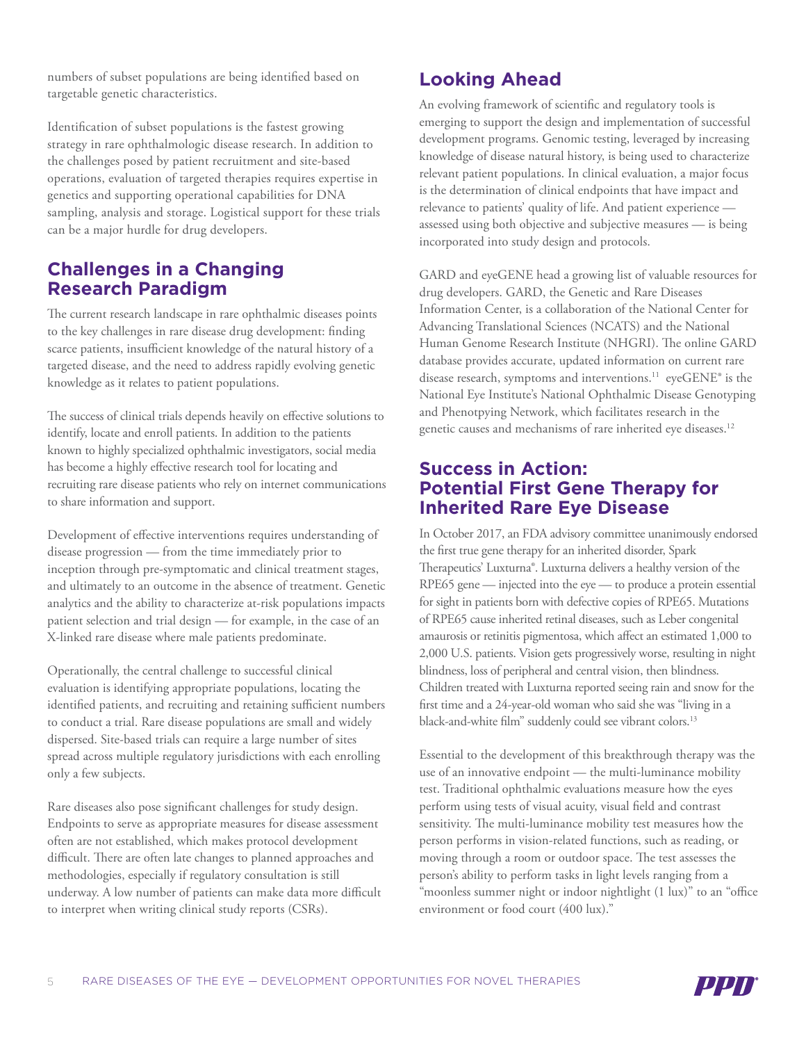numbers of subset populations are being identified based on targetable genetic characteristics.

Identification of subset populations is the fastest growing strategy in rare ophthalmologic disease research. In addition to the challenges posed by patient recruitment and site-based operations, evaluation of targeted therapies requires expertise in genetics and supporting operational capabilities for DNA sampling, analysis and storage. Logistical support for these trials can be a major hurdle for drug developers.

### **Challenges in a Changing Research Paradigm**

The current research landscape in rare ophthalmic diseases points to the key challenges in rare disease drug development: finding scarce patients, insufficient knowledge of the natural history of a targeted disease, and the need to address rapidly evolving genetic knowledge as it relates to patient populations.

The success of clinical trials depends heavily on effective solutions to identify, locate and enroll patients. In addition to the patients known to highly specialized ophthalmic investigators, social media has become a highly effective research tool for locating and recruiting rare disease patients who rely on internet communications to share information and support.

Development of effective interventions requires understanding of disease progression — from the time immediately prior to inception through pre-symptomatic and clinical treatment stages, and ultimately to an outcome in the absence of treatment. Genetic analytics and the ability to characterize at-risk populations impacts patient selection and trial design — for example, in the case of an X-linked rare disease where male patients predominate.

Operationally, the central challenge to successful clinical evaluation is identifying appropriate populations, locating the identified patients, and recruiting and retaining sufficient numbers to conduct a trial. Rare disease populations are small and widely dispersed. Site-based trials can require a large number of sites spread across multiple regulatory jurisdictions with each enrolling only a few subjects.

Rare diseases also pose significant challenges for study design. Endpoints to serve as appropriate measures for disease assessment often are not established, which makes protocol development difficult. There are often late changes to planned approaches and methodologies, especially if regulatory consultation is still underway. A low number of patients can make data more difficult to interpret when writing clinical study reports (CSRs).

# **Looking Ahead**

An evolving framework of scientific and regulatory tools is emerging to support the design and implementation of successful development programs. Genomic testing, leveraged by increasing knowledge of disease natural history, is being used to characterize relevant patient populations. In clinical evaluation, a major focus is the determination of clinical endpoints that have impact and relevance to patients' quality of life. And patient experience assessed using both objective and subjective measures — is being incorporated into study design and protocols.

GARD and eyeGENE head a growing list of valuable resources for drug developers. GARD, the Genetic and Rare Diseases Information Center, is a collaboration of the National Center for Advancing Translational Sciences (NCATS) and the National Human Genome Research Institute (NHGRI). The online GARD database provides accurate, updated information on current rare disease research, symptoms and interventions.<sup>11</sup> eyeGENE® is the National Eye Institute's National Ophthalmic Disease Genotyping and Phenotpying Network, which facilitates research in the genetic causes and mechanisms of rare inherited eye diseases.<sup>12</sup>

#### **Success in Action: Potential First Gene Therapy for Inherited Rare Eye Disease**

In October 2017, an FDA advisory committee unanimously endorsed the first true gene therapy for an inherited disorder, Spark Therapeutics' Luxturna®. Luxturna delivers a healthy version of the RPE65 gene — injected into the eye — to produce a protein essential for sight in patients born with defective copies of RPE65. Mutations of RPE65 cause inherited retinal diseases, such as Leber congenital amaurosis or retinitis pigmentosa, which affect an estimated 1,000 to 2,000 U.S. patients. Vision gets progressively worse, resulting in night blindness, loss of peripheral and central vision, then blindness. Children treated with Luxturna reported seeing rain and snow for the first time and a 24-year-old woman who said she was "living in a black-and-white film" suddenly could see vibrant colors.<sup>13</sup>

Essential to the development of this breakthrough therapy was the use of an innovative endpoint — the multi-luminance mobility test. Traditional ophthalmic evaluations measure how the eyes perform using tests of visual acuity, visual field and contrast sensitivity. The multi-luminance mobility test measures how the person performs in vision-related functions, such as reading, or moving through a room or outdoor space. The test assesses the person's ability to perform tasks in light levels ranging from a "moonless summer night or indoor nightlight (1 lux)" to an "office environment or food court (400 lux)."

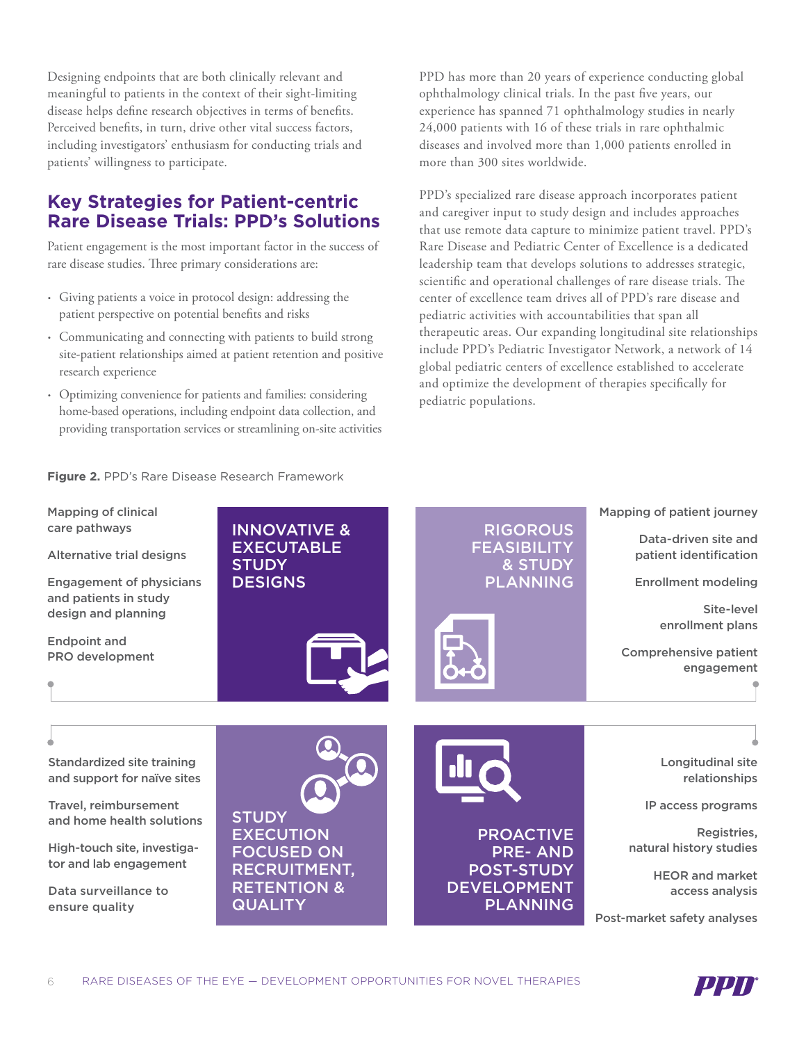Designing endpoints that are both clinically relevant and meaningful to patients in the context of their sight-limiting disease helps define research objectives in terms of benefits. Perceived benefits, in turn, drive other vital success factors, including investigators' enthusiasm for conducting trials and patients' willingness to participate.

# **Key Strategies for Patient-centric Rare Disease Trials: PPD's Solutions**

Patient engagement is the most important factor in the success of rare disease studies. Three primary considerations are:

- Giving patients a voice in protocol design: addressing the patient perspective on potential benefits and risks
- Communicating and connecting with patients to build strong site-patient relationships aimed at patient retention and positive research experience
- Optimizing convenience for patients and families: considering home-based operations, including endpoint data collection, and providing transportation services or streamlining on-site activities

PPD has more than 20 years of experience conducting global ophthalmology clinical trials. In the past five years, our experience has spanned 71 ophthalmology studies in nearly 24,000 patients with 16 of these trials in rare ophthalmic diseases and involved more than 1,000 patients enrolled in more than 300 sites worldwide.

PPD's specialized rare disease approach incorporates patient and caregiver input to study design and includes approaches that use remote data capture to minimize patient travel. PPD's Rare Disease and Pediatric Center of Excellence is a dedicated leadership team that develops solutions to addresses strategic, scientific and operational challenges of rare disease trials. The center of excellence team drives all of PPD's rare disease and pediatric activities with accountabilities that span all therapeutic areas. Our expanding longitudinal site relationships include PPD's Pediatric Investigator Network, a network of 14 global pediatric centers of excellence established to accelerate and optimize the development of therapies specifically for pediatric populations.

#### **Figure 2.** PPD's Rare Disease Research Framework



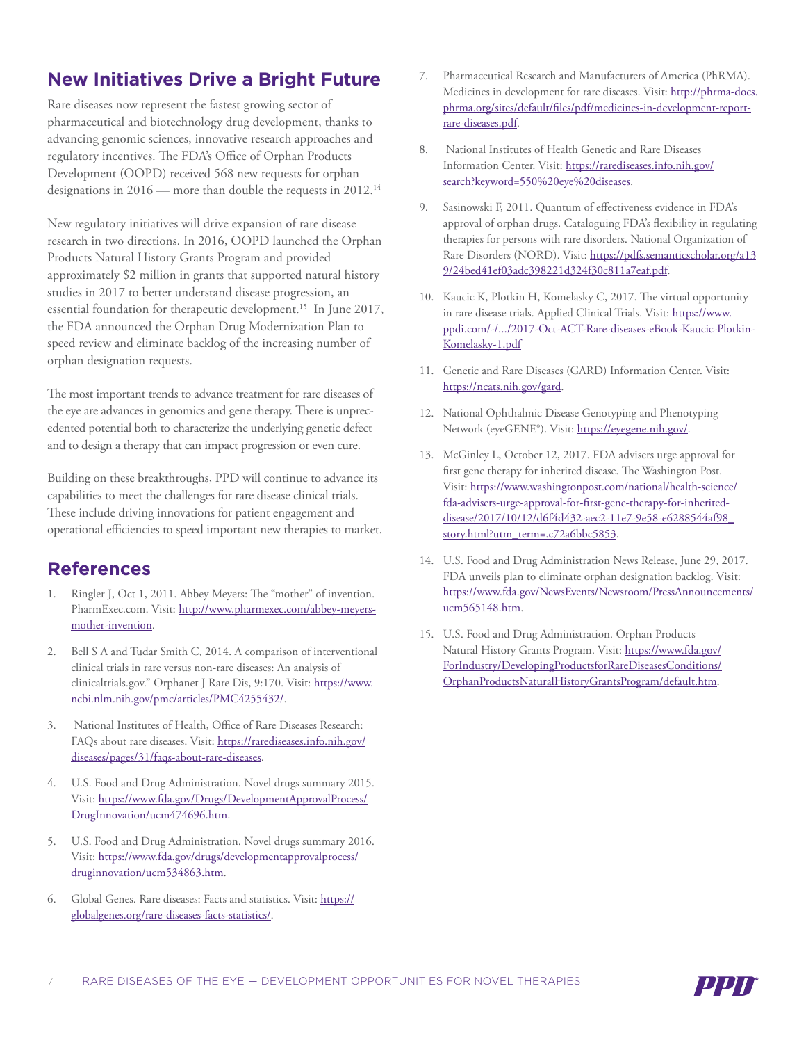# **New Initiatives Drive a Bright Future**

Rare diseases now represent the fastest growing sector of pharmaceutical and biotechnology drug development, thanks to advancing genomic sciences, innovative research approaches and regulatory incentives. The FDA's Office of Orphan Products Development (OOPD) received 568 new requests for orphan designations in 2016 — more than double the requests in 2012.<sup>14</sup>

New regulatory initiatives will drive expansion of rare disease research in two directions. In 2016, OOPD launched the Orphan Products Natural History Grants Program and provided approximately \$2 million in grants that supported natural history studies in 2017 to better understand disease progression, an essential foundation for therapeutic development.15 In June 2017, the FDA announced the Orphan Drug Modernization Plan to speed review and eliminate backlog of the increasing number of orphan designation requests.

The most important trends to advance treatment for rare diseases of the eye are advances in genomics and gene therapy. There is unprecedented potential both to characterize the underlying genetic defect and to design a therapy that can impact progression or even cure.

Building on these breakthroughs, PPD will continue to advance its capabilities to meet the challenges for rare disease clinical trials. These include driving innovations for patient engagement and operational efficiencies to speed important new therapies to market.

# **References**

- Ringler J, Oct 1, 2011. Abbey Meyers: The "mother" of invention. PharmExec.com. Visit: [http://www.pharmexec.com/abbey-meyers](http://www.pharmexec.com/abbey-meyers-mother-invention)[mother-invention.](http://www.pharmexec.com/abbey-meyers-mother-invention)
- 2. Bell S A and Tudar Smith C, 2014. A comparison of interventional clinical trials in rare versus non-rare diseases: An analysis of clinicaltrials.gov." Orphanet J Rare Dis, 9:170. Visit: [https://www.](https://www.ncbi.nlm.nih.gov/pmc/articles/PMC4255432/) [ncbi.nlm.nih.gov/pmc/articles/PMC4255432/.](https://www.ncbi.nlm.nih.gov/pmc/articles/PMC4255432/)
- 3. National Institutes of Health, Office of Rare Diseases Research: FAQs about rare diseases. Visit: [https://rarediseases.info.nih.gov/](https://rarediseases.info.nih.gov/diseases/pages/31/faqs-about-rare-diseases) [diseases/pages/31/faqs-about-rare-diseases.](https://rarediseases.info.nih.gov/diseases/pages/31/faqs-about-rare-diseases)
- 4. U.S. Food and Drug Administration. Novel drugs summary 2015. Visit: [https://www.fda.gov/Drugs/DevelopmentApprovalProcess/](https://www.fda.gov/Drugs/DevelopmentApprovalProcess/DrugInnovation/ucm474696.htm) [DrugInnovation/ucm474696.htm.](https://www.fda.gov/Drugs/DevelopmentApprovalProcess/DrugInnovation/ucm474696.htm)
- 5. U.S. Food and Drug Administration. Novel drugs summary 2016. Visit: [https://www.fda.gov/drugs/developmentapprovalprocess/](https://www.fda.gov/drugs/developmentapprovalprocess/druginnovation/ucm534863.htm) [druginnovation/ucm534863.htm.](https://www.fda.gov/drugs/developmentapprovalprocess/druginnovation/ucm534863.htm)
- 6. Global Genes. Rare diseases: Facts and statistics. Visit: [https://](https://globalgenes.org/rare-diseases-facts-statistics/) [globalgenes.org/rare-diseases-facts-statistics/.](https://globalgenes.org/rare-diseases-facts-statistics/)
- 7. Pharmaceutical Research and Manufacturers of America (PhRMA). Medicines in development for rare diseases. Visit: [http://phrma-docs.](http://phrma-docs.phrma.org/sites/default/files/pdf/medicines-in-development-report-rare-diseases.pdf) [phrma.org/sites/default/files/pdf/medicines-in-development-report](http://phrma-docs.phrma.org/sites/default/files/pdf/medicines-in-development-report-rare-diseases.pdf)[rare-diseases.pdf.](http://phrma-docs.phrma.org/sites/default/files/pdf/medicines-in-development-report-rare-diseases.pdf)
- 8. National Institutes of Health Genetic and Rare Diseases Information Center. Visit: [https://rarediseases.info.nih.gov/](https://rarediseases.info.nih.gov/search?keyword=550%20eye%20diseases) [search?keyword=550%20eye%20diseases.](https://rarediseases.info.nih.gov/search?keyword=550%20eye%20diseases)
- 9. Sasinowski F, 2011. Quantum of effectiveness evidence in FDA's approval of orphan drugs. Cataloguing FDA's flexibility in regulating therapies for persons with rare disorders. National Organization of Rare Disorders (NORD). Visit: [https://pdfs.semanticscholar.org/a13](https://pdfs.semanticscholar.org/a139/24bed41ef03adc398221d324f30c811a7eaf.pdf) [9/24bed41ef03adc398221d324f30c811a7eaf.pdf](https://pdfs.semanticscholar.org/a139/24bed41ef03adc398221d324f30c811a7eaf.pdf).
- 10. Kaucic K, Plotkin H, Komelasky C, 2017. The virtual opportunity in rare disease trials. Applied Clinical Trials. Visit: [https://www.](https://www.ppdi.com/-/.../2017-Oct-ACT-Rare-diseases-eBook-Kaucic-Plotkin-Komelasky-1.pdf) [ppdi.com/-/.../2017-Oct-ACT-Rare-diseases-eBook-Kaucic-Plotkin-](https://www.ppdi.com/-/.../2017-Oct-ACT-Rare-diseases-eBook-Kaucic-Plotkin-Komelasky-1.pdf)[Komelasky-1.pdf](https://www.ppdi.com/-/.../2017-Oct-ACT-Rare-diseases-eBook-Kaucic-Plotkin-Komelasky-1.pdf)
- 11. Genetic and Rare Diseases (GARD) Information Center. Visit: <https://ncats.nih.gov/gard>.
- 12. National Ophthalmic Disease Genotyping and Phenotyping Network (eyeGENE®). Visit: [https://eyegene.nih.gov/.](https://eyegene.nih.gov/)
- 13. McGinley L, October 12, 2017. FDA advisers urge approval for first gene therapy for inherited disease. The Washington Post. Visit: [https://www.washingtonpost.com/national/health-science/](https://www.washingtonpost.com/national/health-science/fda-advisers-urge-approval-for-first-gene-therapy-for-inherited-disease/2017/10/12/d6f4d432-aec2-11e7-9e58-e6288544af98_story.html?utm_term=.c72a6bbc5853) [fda-advisers-urge-approval-for-first-gene-therapy-for-inherited](https://www.washingtonpost.com/national/health-science/fda-advisers-urge-approval-for-first-gene-therapy-for-inherited-disease/2017/10/12/d6f4d432-aec2-11e7-9e58-e6288544af98_story.html?utm_term=.c72a6bbc5853)[disease/2017/10/12/d6f4d432-aec2-11e7-9e58-e6288544af98\\_](https://www.washingtonpost.com/national/health-science/fda-advisers-urge-approval-for-first-gene-therapy-for-inherited-disease/2017/10/12/d6f4d432-aec2-11e7-9e58-e6288544af98_story.html?utm_term=.c72a6bbc5853) [story.html?utm\\_term=.c72a6bbc5853](https://www.washingtonpost.com/national/health-science/fda-advisers-urge-approval-for-first-gene-therapy-for-inherited-disease/2017/10/12/d6f4d432-aec2-11e7-9e58-e6288544af98_story.html?utm_term=.c72a6bbc5853).
- 14. U.S. Food and Drug Administration News Release, June 29, 2017. FDA unveils plan to eliminate orphan designation backlog. Visit: [https://www.fda.gov/NewsEvents/Newsroom/PressAnnouncements/](https://www.fda.gov/NewsEvents/Newsroom/PressAnnouncements/ucm565148.htm) [ucm565148.htm.](https://www.fda.gov/NewsEvents/Newsroom/PressAnnouncements/ucm565148.htm)
- 15. U.S. Food and Drug Administration. Orphan Products Natural History Grants Program. Visit: [https://www.fda.gov/](https://www.fda.gov/ForIndustry/DevelopingProductsforRareDiseasesConditions/OrphanProductsNaturalHistoryGrantsProgram/default.htm) [ForIndustry/DevelopingProductsforRareDiseasesConditions/](https://www.fda.gov/ForIndustry/DevelopingProductsforRareDiseasesConditions/OrphanProductsNaturalHistoryGrantsProgram/default.htm) [OrphanProductsNaturalHistoryGrantsProgram/default.htm.](https://www.fda.gov/ForIndustry/DevelopingProductsforRareDiseasesConditions/OrphanProductsNaturalHistoryGrantsProgram/default.htm)